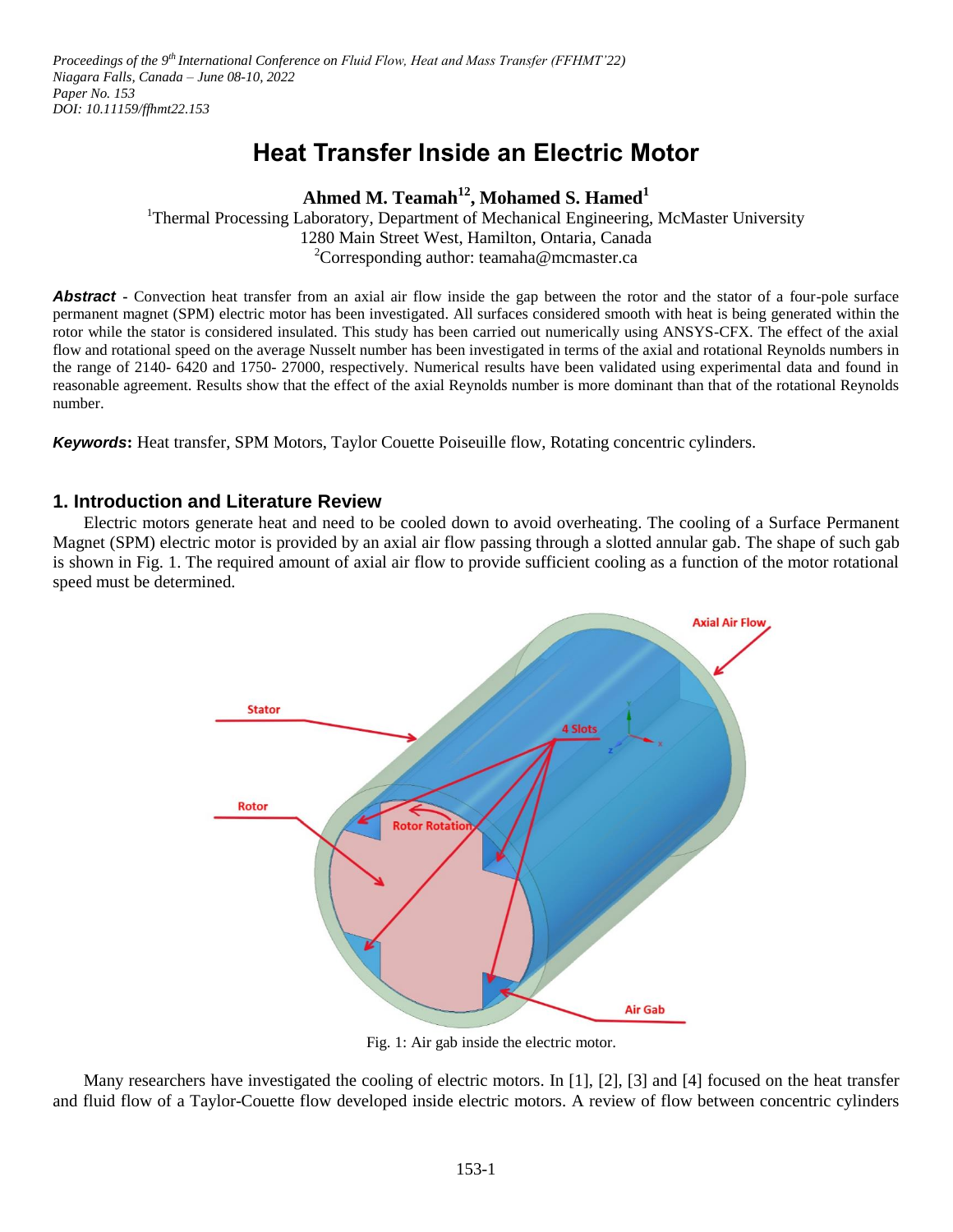Proceedings of the 9<sup>th</sup> International Conference on Fluid Flow, Heat and Mass Transfer (FFHMT'22) *Niagara Falls, Canada – June 08-10, 2022 Paper No. 153 DOI: 10.11159/ffhmt22.153*

# **Heat Transfer Inside an Electric Motor**

## **Ahmed M. Teamah<sup>12</sup> , Mohamed S. Hamed<sup>1</sup>**

<sup>1</sup>Thermal Processing Laboratory, Department of Mechanical Engineering, McMaster University 1280 Main Street West, Hamilton, Ontaria, Canada <sup>2</sup>Corresponding author: teamaha@mcmaster.ca

**Abstract -** Convection heat transfer from an axial air flow inside the gap between the rotor and the stator of a four-pole surface permanent magnet (SPM) electric motor has been investigated. All surfaces considered smooth with heat is being generated within the rotor while the stator is considered insulated. This study has been carried out numerically using ANSYS-CFX. The effect of the axial flow and rotational speed on the average Nusselt number has been investigated in terms of the axial and rotational Reynolds numbers in the range of 2140- 6420 and 1750- 27000, respectively. Numerical results have been validated using experimental data and found in reasonable agreement. Results show that the effect of the axial Reynolds number is more dominant than that of the rotational Reynolds number.

*Keywords***:** Heat transfer, SPM Motors, Taylor Couette Poiseuille flow, Rotating concentric cylinders.

## **1. Introduction and Literature Review**

Electric motors generate heat and need to be cooled down to avoid overheating. The cooling of a Surface Permanent Magnet (SPM) electric motor is provided by an axial air flow passing through a slotted annular gab. The shape of such gab is shown in Fig. 1. The required amount of axial air flow to provide sufficient cooling as a function of the motor rotational speed must be determined.



Fig. 1: Air gab inside the electric motor.

Many researchers have investigated the cooling of electric motors. In [1], [2], [3] and [4] focused on the heat transfer and fluid flow of a Taylor-Couette flow developed inside electric motors. A review of flow between concentric cylinders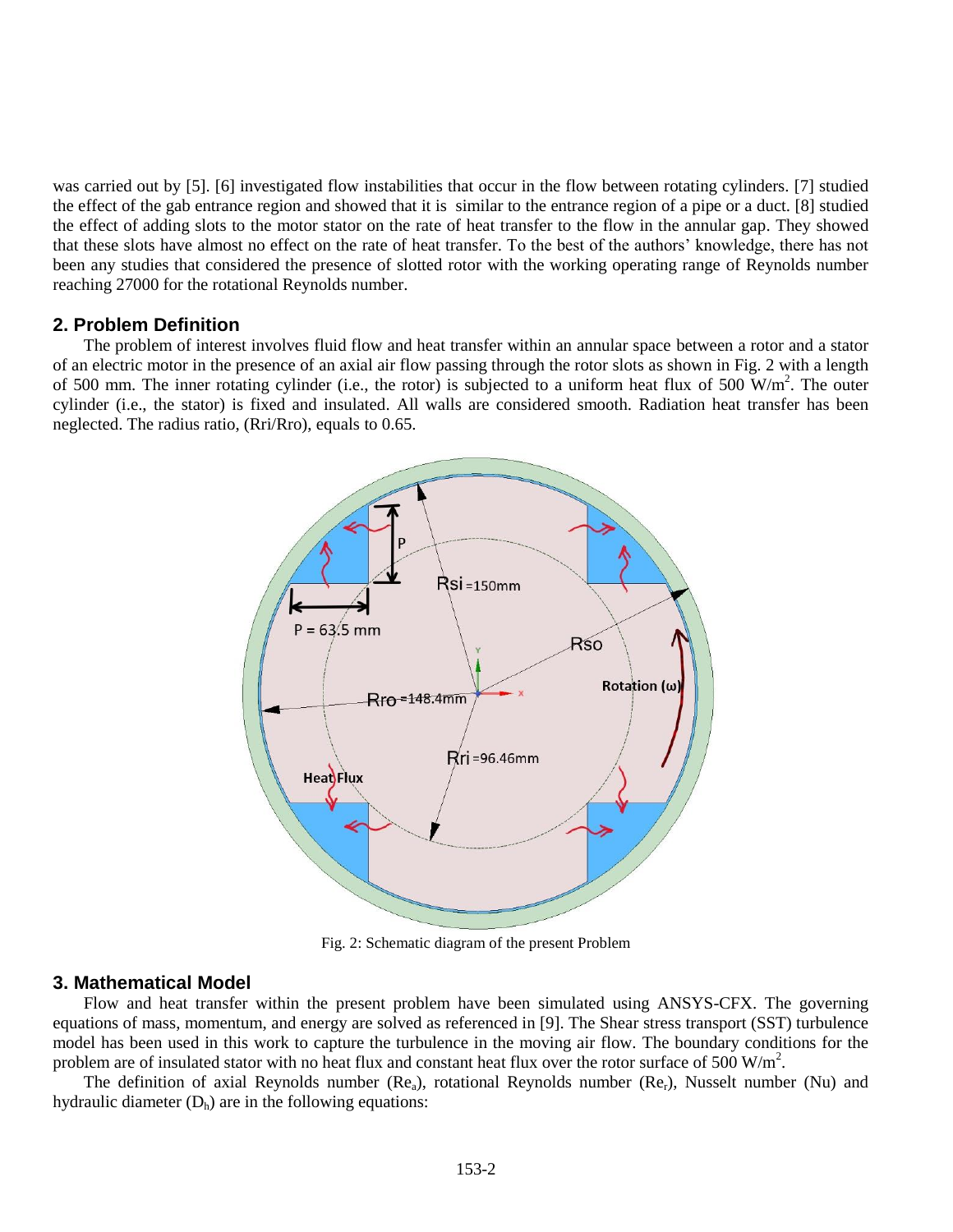was carried out by [5]. [6] investigated flow instabilities that occur in the flow between rotating cylinders. [7] studied the effect of the gab entrance region and showed that it is similar to the entrance region of a pipe or a duct. [8] studied the effect of adding slots to the motor stator on the rate of heat transfer to the flow in the annular gap. They showed that these slots have almost no effect on the rate of heat transfer. To the best of the authors' knowledge, there has not been any studies that considered the presence of slotted rotor with the working operating range of Reynolds number reaching 27000 for the rotational Reynolds number.

### **2. Problem Definition**

The problem of interest involves fluid flow and heat transfer within an annular space between a rotor and a stator of an electric motor in the presence of an axial air flow passing through the rotor slots as shown in Fig. 2 with a length of 500 mm. The inner rotating cylinder (i.e., the rotor) is subjected to a uniform heat flux of 500  $W/m<sup>2</sup>$ . The outer cylinder (i.e., the stator) is fixed and insulated. All walls are considered smooth. Radiation heat transfer has been neglected. The radius ratio, (Rri/Rro), equals to 0.65.



Fig. 2: Schematic diagram of the present Problem

#### **3. Mathematical Model**

Flow and heat transfer within the present problem have been simulated using ANSYS-CFX. The governing equations of mass, momentum, and energy are solved as referenced in [9]. The Shear stress transport (SST) turbulence model has been used in this work to capture the turbulence in the moving air flow. The boundary conditions for the problem are of insulated stator with no heat flux and constant heat flux over the rotor surface of 500  $W/m<sup>2</sup>$ .

The definition of axial Reynolds number  $(Re_a)$ , rotational Reynolds number  $(Re_r)$ , Nusselt number (Nu) and hydraulic diameter  $(D_h)$  are in the following equations: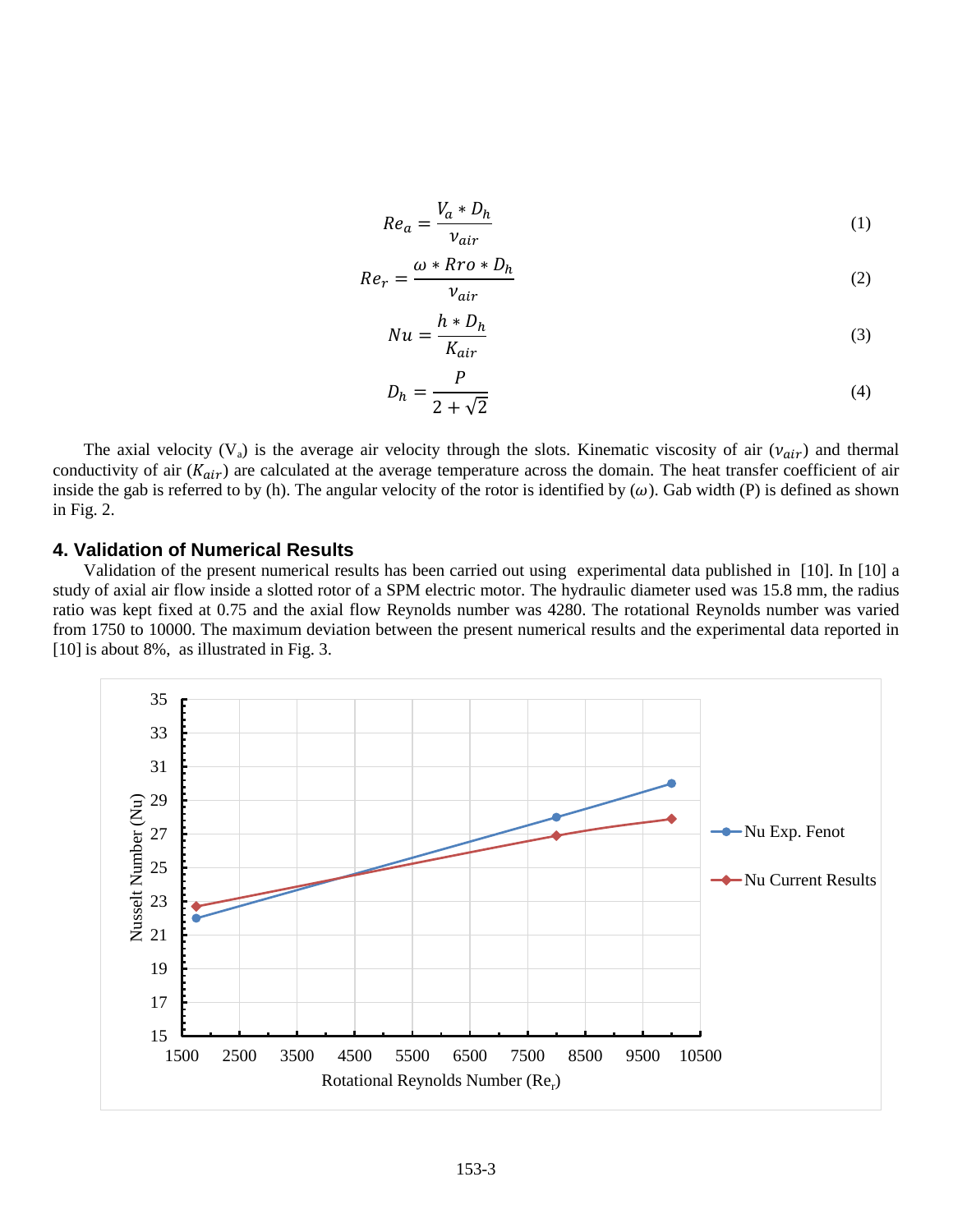$$
Re_a = \frac{V_a * D_h}{v_{air}} \tag{1}
$$

$$
Re_r = \frac{\omega * Rro * D_h}{v_{air}} \tag{2}
$$

$$
Nu = \frac{h * D_h}{K_{air}}\tag{3}
$$

$$
D_h = \frac{P}{2 + \sqrt{2}}\tag{4}
$$

The axial velocity (V<sub>a</sub>) is the average air velocity through the slots. Kinematic viscosity of air ( $v_{air}$ ) and thermal conductivity of air  $(K_{air})$  are calculated at the average temperature across the domain. The heat transfer coefficient of air inside the gab is referred to by (h). The angular velocity of the rotor is identified by  $(\omega)$ . Gab width (P) is defined as shown in Fig. 2.

#### **4. Validation of Numerical Results**

Validation of the present numerical results has been carried out using experimental data published in [10]. In [10] a study of axial air flow inside a slotted rotor of a SPM electric motor. The hydraulic diameter used was 15.8 mm, the radius ratio was kept fixed at 0.75 and the axial flow Reynolds number was 4280. The rotational Reynolds number was varied from 1750 to 10000. The maximum deviation between the present numerical results and the experimental data reported in [10] is about 8%, as illustrated in Fig. 3.

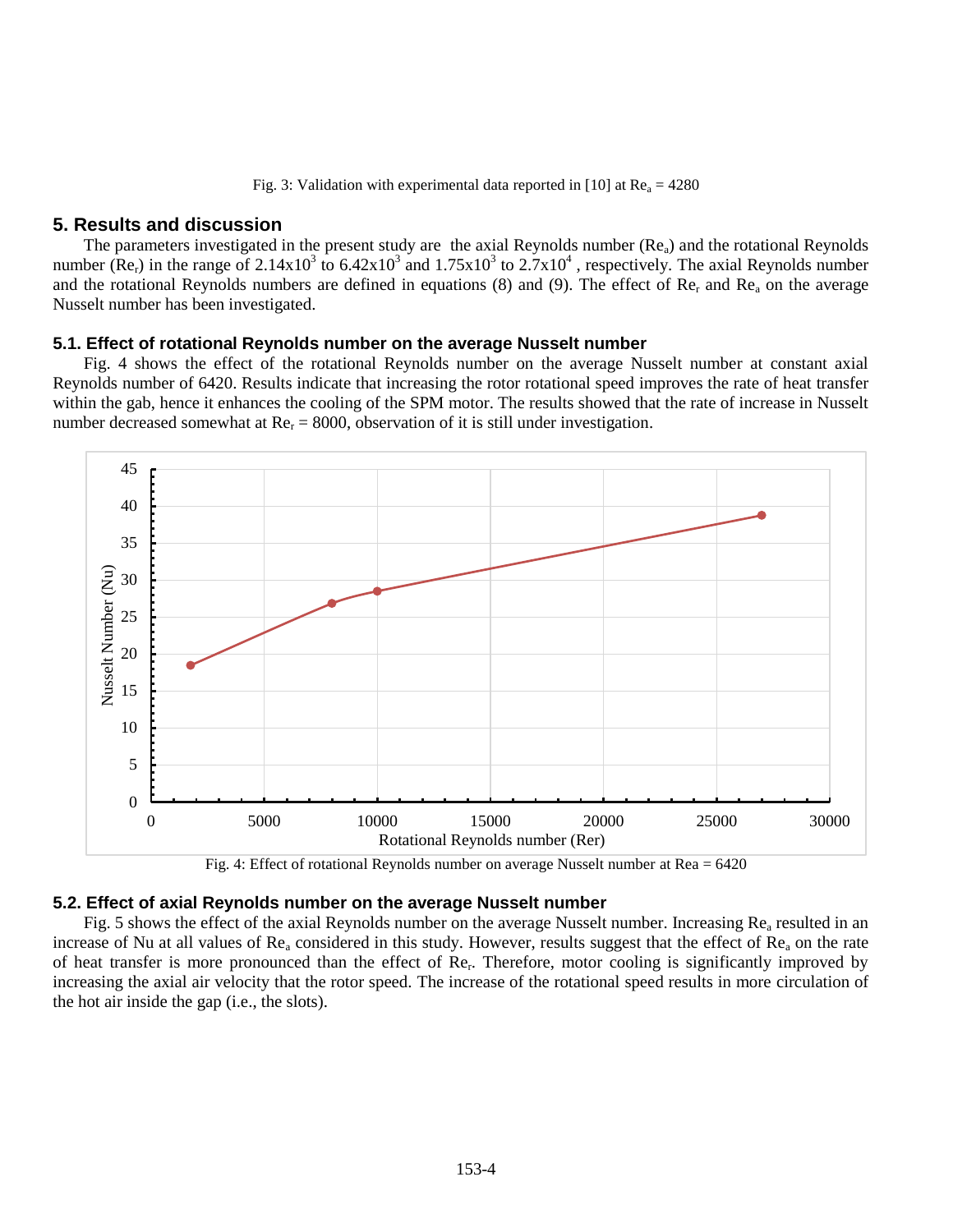Fig. 3: Validation with experimental data reported in [10] at  $Re_a = 4280$ 

#### **5. Results and discussion**

The parameters investigated in the present study are the axial Reynolds number  $(Re_a)$  and the rotational Reynolds number (Re<sub>r</sub>) in the range of 2.14x10<sup>3</sup> to 6.42x10<sup>3</sup> and 1.75x10<sup>3</sup> to 2.7x10<sup>4</sup>, respectively. The axial Reynolds number and the rotational Reynolds numbers are defined in equations (8) and (9). The effect of  $Re<sub>r</sub>$  and  $Re<sub>a</sub>$  on the average Nusselt number has been investigated.

#### **5.1. Effect of rotational Reynolds number on the average Nusselt number**

Fig. 4 shows the effect of the rotational Reynolds number on the average Nusselt number at constant axial Reynolds number of 6420. Results indicate that increasing the rotor rotational speed improves the rate of heat transfer within the gab, hence it enhances the cooling of the SPM motor. The results showed that the rate of increase in Nusselt number decreased somewhat at  $Re<sub>r</sub> = 8000$ , observation of it is still under investigation.





## **5.2. Effect of axial Reynolds number on the average Nusselt number**

Fig. 5 shows the effect of the axial Reynolds number on the average Nusselt number. Increasing  $Re_a$  resulted in an increase of Nu at all values of  $Re_a$  considered in this study. However, results suggest that the effect of  $Re_a$  on the rate of heat transfer is more pronounced than the effect of Re<sub>r</sub>. Therefore, motor cooling is significantly improved by increasing the axial air velocity that the rotor speed. The increase of the rotational speed results in more circulation of the hot air inside the gap (i.e., the slots).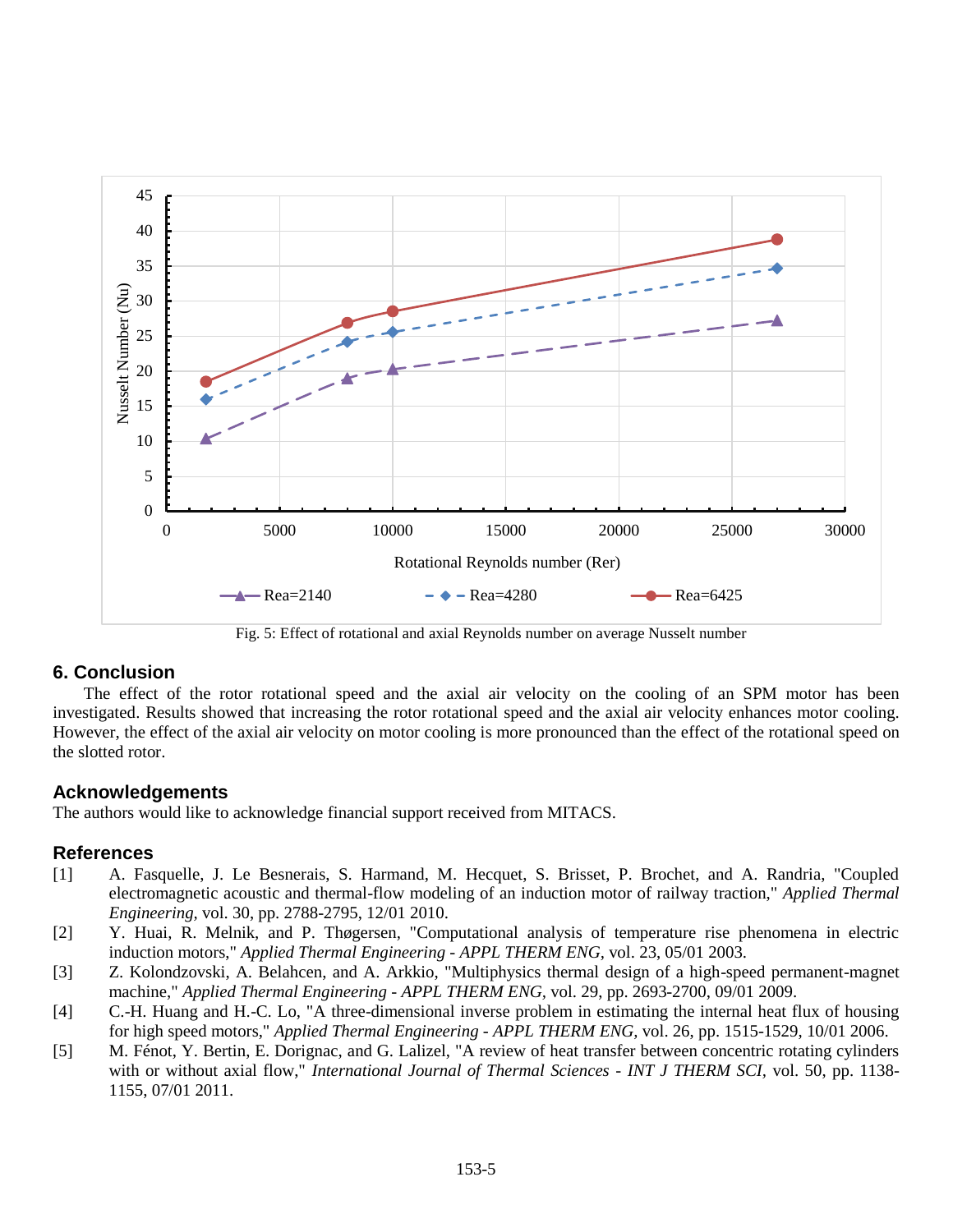

Fig. 5: Effect of rotational and axial Reynolds number on average Nusselt number

## **6. Conclusion**

The effect of the rotor rotational speed and the axial air velocity on the cooling of an SPM motor has been investigated. Results showed that increasing the rotor rotational speed and the axial air velocity enhances motor cooling. However, the effect of the axial air velocity on motor cooling is more pronounced than the effect of the rotational speed on the slotted rotor.

## **Acknowledgements**

The authors would like to acknowledge financial support received from MITACS.

#### **References**

- [1] A. Fasquelle, J. Le Besnerais, S. Harmand, M. Hecquet, S. Brisset, P. Brochet, and A. Randria, "Coupled electromagnetic acoustic and thermal-flow modeling of an induction motor of railway traction," *Applied Thermal Engineering,* vol. 30, pp. 2788-2795, 12/01 2010.
- [2] Y. Huai, R. Melnik, and P. Thøgersen, "Computational analysis of temperature rise phenomena in electric induction motors," *Applied Thermal Engineering - APPL THERM ENG,* vol. 23, 05/01 2003.
- [3] Z. Kolondzovski, A. Belahcen, and A. Arkkio, "Multiphysics thermal design of a high-speed permanent-magnet machine," *Applied Thermal Engineering - APPL THERM ENG,* vol. 29, pp. 2693-2700, 09/01 2009.
- [4] C.-H. Huang and H.-C. Lo, "A three-dimensional inverse problem in estimating the internal heat flux of housing for high speed motors," *Applied Thermal Engineering - APPL THERM ENG,* vol. 26, pp. 1515-1529, 10/01 2006.
- [5] M. Fénot, Y. Bertin, E. Dorignac, and G. Lalizel, "A review of heat transfer between concentric rotating cylinders with or without axial flow," *International Journal of Thermal Sciences - INT J THERM SCI*, vol. 50, pp. 1138-1155, 07/01 2011.